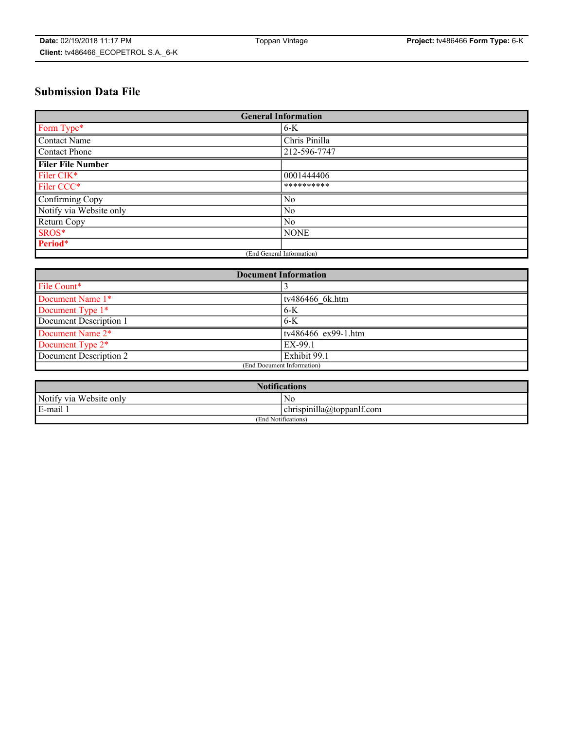# **Submission Data File**

| <b>General Information</b> |                |  |
|----------------------------|----------------|--|
| Form Type*                 | $6-K$          |  |
| Contact Name               | Chris Pinilla  |  |
| Contact Phone              | 212-596-7747   |  |
| <b>Filer File Number</b>   |                |  |
| Filer CIK*                 | 0001444406     |  |
| Filer CCC*                 | **********     |  |
| Confirming Copy            | No             |  |
| Notify via Website only    | N <sub>0</sub> |  |
| Return Copy                | No             |  |
| SROS*                      | <b>NONE</b>    |  |
| Period*                    |                |  |
| (End General Information)  |                |  |

| <b>Document Information</b> |                     |
|-----------------------------|---------------------|
| File Count*                 |                     |
| Document Name 1*            | tv486466 6k.htm     |
| Document Type 1*            | $6-K$               |
| Document Description 1      | $6 - K$             |
| Document Name 2*            | tv486466 ex99-1.htm |
| Document Type 2*            | EX-99.1             |
| Document Description 2      | Exhibit 99.1        |
| (End Document Information)  |                     |

| <b>Notifications</b>    |                                        |  |
|-------------------------|----------------------------------------|--|
| Notify via Website only | N0                                     |  |
| E-mail 1                | <br>10<br> chrispinilla(a)toppanIt.com |  |
| (End Notifications)     |                                        |  |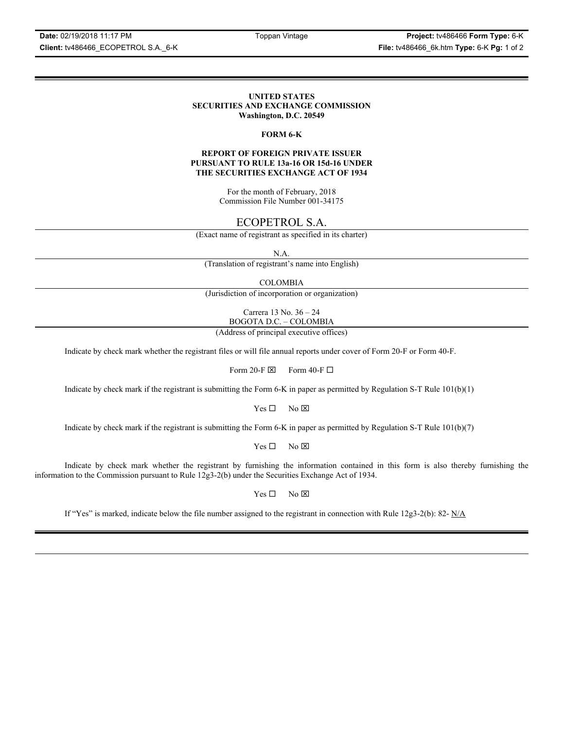**Date:** 02/19/2018 11:17 PM Toppan Vintage **Project:** tv486466 **Form Type:** 6-K **Client:** tv486466\_ECOPETROL S.A.\_6-K **File:** tv486466\_6k.htm **Type:** 6-K **Pg:** 1 of 2

## **UNITED STATES SECURITIES AND EXCHANGE COMMISSION Washington, D.C. 20549**

## **FORM 6-K**

## **REPORT OF FOREIGN PRIVATE ISSUER PURSUANT TO RULE 13a-16 OR 15d-16 UNDER THE SECURITIES EXCHANGE ACT OF 1934**

For the month of February, 2018 Commission File Number 001-34175

## ECOPETROL S.A.

(Exact name of registrant as specified in its charter)

N.A.

(Translation of registrant's name into English)

COLOMBIA

(Jurisdiction of incorporation or organization)

Carrera 13 No. 36 – 24 BOGOTA D.C. – COLOMBIA

(Address of principal executive offices)

Indicate by check mark whether the registrant files or will file annual reports under cover of Form 20-F or Form 40-F.

Form 20-F  $\boxtimes$  Form 40-F  $\Box$ 

Indicate by check mark if the registrant is submitting the Form 6-K in paper as permitted by Regulation S-T Rule 101(b)(1)

 $Yes \Box$  No  $\boxtimes$ 

Indicate by check mark if the registrant is submitting the Form 6-K in paper as permitted by Regulation S-T Rule 101(b)(7)

 $Yes \Box$  No  $\boxtimes$ 

Indicate by check mark whether the registrant by furnishing the information contained in this form is also thereby furnishing the information to the Commission pursuant to Rule 12g3-2(b) under the Securities Exchange Act of 1934.

 $Yes \Box$  No  $\boxtimes$ 

If "Yes" is marked, indicate below the file number assigned to the registrant in connection with Rule 12g3-2(b): 82-  $N/A$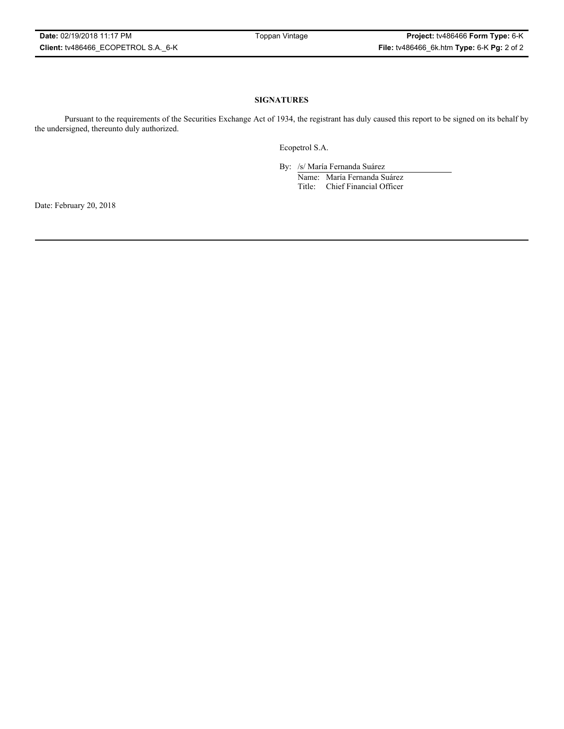## **SIGNATURES**

Pursuant to the requirements of the Securities Exchange Act of 1934, the registrant has duly caused this report to be signed on its behalf by the undersigned, thereunto duly authorized.

Ecopetrol S.A.

By: /s/ María Fernanda Suárez Name: María Fernanda Suárez Title: Chief Financial Officer

Date: February 20, 2018